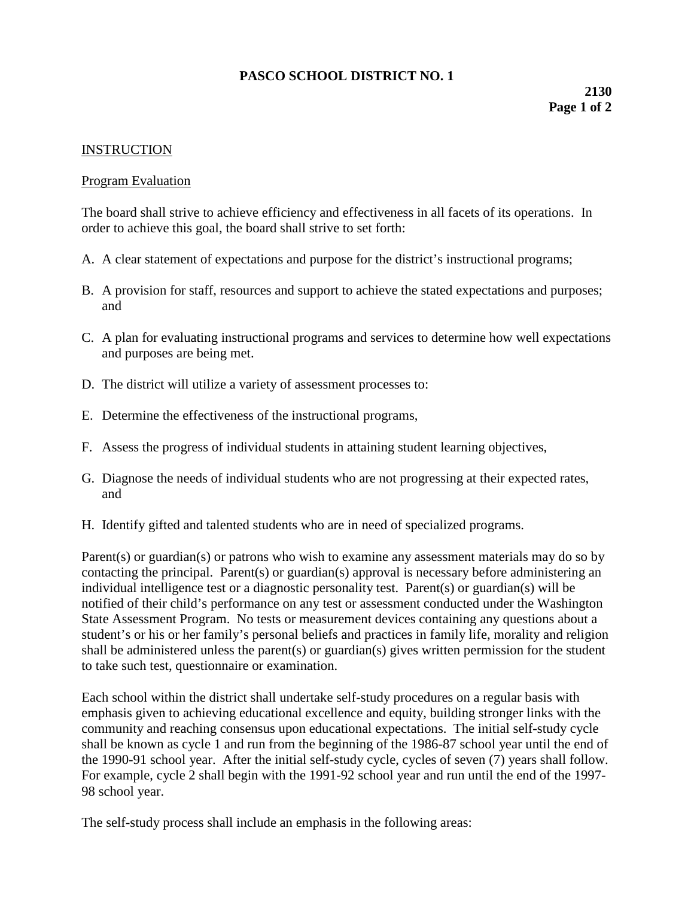## **PASCO SCHOOL DISTRICT NO. 1**

## **INSTRUCTION**

## Program Evaluation

The board shall strive to achieve efficiency and effectiveness in all facets of its operations. In order to achieve this goal, the board shall strive to set forth:

- A. A clear statement of expectations and purpose for the district's instructional programs;
- B. A provision for staff, resources and support to achieve the stated expectations and purposes; and
- C. A plan for evaluating instructional programs and services to determine how well expectations and purposes are being met.
- D. The district will utilize a variety of assessment processes to:
- E. Determine the effectiveness of the instructional programs,
- F. Assess the progress of individual students in attaining student learning objectives,
- G. Diagnose the needs of individual students who are not progressing at their expected rates, and
- H. Identify gifted and talented students who are in need of specialized programs.

Parent(s) or guardian(s) or patrons who wish to examine any assessment materials may do so by contacting the principal. Parent(s) or guardian(s) approval is necessary before administering an individual intelligence test or a diagnostic personality test. Parent(s) or guardian(s) will be notified of their child's performance on any test or assessment conducted under the Washington State Assessment Program. No tests or measurement devices containing any questions about a student's or his or her family's personal beliefs and practices in family life, morality and religion shall be administered unless the parent(s) or guardian(s) gives written permission for the student to take such test, questionnaire or examination.

Each school within the district shall undertake self-study procedures on a regular basis with emphasis given to achieving educational excellence and equity, building stronger links with the community and reaching consensus upon educational expectations. The initial self-study cycle shall be known as cycle 1 and run from the beginning of the 1986-87 school year until the end of the 1990-91 school year. After the initial self-study cycle, cycles of seven (7) years shall follow. For example, cycle 2 shall begin with the 1991-92 school year and run until the end of the 1997- 98 school year.

The self-study process shall include an emphasis in the following areas: